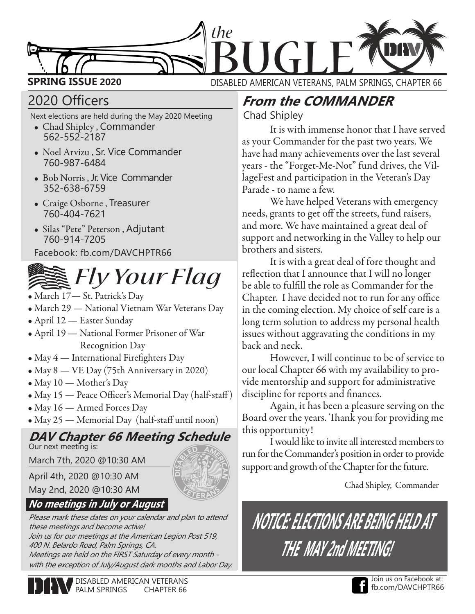

## 2020 Officers

Next elections are held during the May 2020 Meeting

- Chad Shipley , Commander 562-552-2187
- Noel Arvizu , Sr. Vice Commander 760-987-6484
- Bob Norris , Jr. Vice Commander 352-638-6759
- Craige Osborne , Treasurer 760-404-7621
- Silas "Pete" Peterson , Adjutant 760-914-7205

Facebook: fb.com/DAVCHPTR66



- March 17— St. Patrick's Day
- March 29 National Vietnam War Veterans Day
- April 12 Easter Sunday
- April 19 National Former Prisoner of War Recognition Day
- May 4 International Firefighters Day
- May 8 VE Day (75th Anniversary in 2020)
- May 10 Mother's Day
- May 15 Peace Officer's Memorial Day (half-staff)
- May 16 Armed Forces Day
- May 25 Memorial Day (half-staff until noon)

## **DAV Chapter 66 Meeting Schedule**

Our next meeting is:

March 7th, 2020 @10:30 AM

April 4th, 2020 @10:30 AM



### **No meetings in July or August**

Please mark these dates on your calendar and plan to attend these meetings and become active! Join us for our meetings at the American Legion Post 519, 400 N. Belardo Road, Palm Springs, CA. Meetings are held on the FIRST Saturday of every month with the exception of July/August dark months and Labor Day.

## **From the COMMANDER**

Chad Shipley

It is with immense honor that I have served as your Commander for the past two years. We have had many achievements over the last several years - the "Forget-Me-Not" fund drives, the VillageFest and participation in the Veteran's Day Parade - to name a few.

We have helped Veterans with emergency needs, grants to get off the streets, fund raisers, and more. We have maintained a great deal of support and networking in the Valley to help our brothers and sisters.

It is with a great deal of fore thought and reflection that I announce that I will no longer be able to fulfill the role as Commander for the Chapter. I have decided not to run for any office in the coming election. My choice of self care is a long term solution to address my personal health issues without aggravating the conditions in my back and neck.

However, I will continue to be of service to our local Chapter 66 with my availability to provide mentorship and support for administrative discipline for reports and finances.

Again, it has been a pleasure serving on the Board over the years. Thank you for providing me this opportunity!

I would like to invite all interested members to run for the Commander's position in order to provide support and growth of the Chapter for the future.

Chad Shipley, Commander

# **NOTICE: ELECTIONS ARE BEING HELD AT THE MAY 2nd MEETING!**



DISABLED AMERICAN VETERANS PALM SPRINGS CHAPTER 66

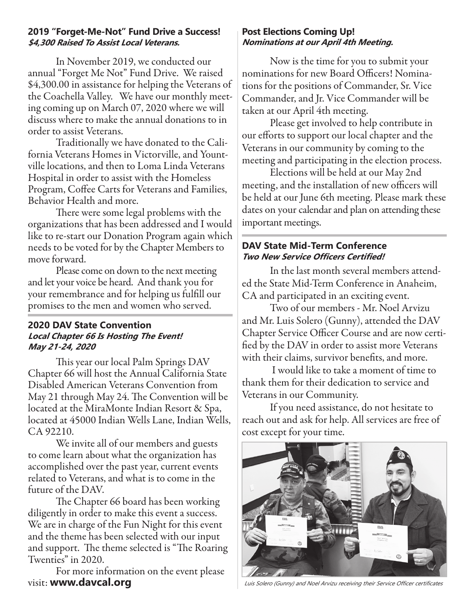#### **2019 "Forget-Me-Not" Fund Drive a Success! \$4,300 Raised To Assist Local Veterans.**

In November 2019, we conducted our annual "Forget Me Not" Fund Drive. We raised \$4,300.00 in assistance for helping the Veterans of the Coachella Valley. We have our monthly meeting coming up on March 07, 2020 where we will discuss where to make the annual donations to in order to assist Veterans.

Traditionally we have donated to the California Veterans Homes in Victorville, and Yountville locations, and then to Loma Linda Veterans Hospital in order to assist with the Homeless Program, Coffee Carts for Veterans and Families, Behavior Health and more.

There were some legal problems with the organizations that has been addressed and I would like to re-start our Donation Program again which needs to be voted for by the Chapter Members to move forward.

Please come on down to the next meeting and let your voice be heard. And thank you for your remembrance and for helping us fulfill our promises to the men and women who served.

#### **2020 DAV State Convention Local Chapter 66 Is Hosting The Event! May 21-24, 2020**

This year our local Palm Springs DAV Chapter 66 will host the Annual California State Disabled American Veterans Convention from May 21 through May 24. The Convention will be located at the MiraMonte Indian Resort & Spa, located at 45000 Indian Wells Lane, Indian Wells, CA 92210.

We invite all of our members and guests to come learn about what the organization has accomplished over the past year, current events related to Veterans, and what is to come in the future of the DAV.

The Chapter 66 board has been working diligently in order to make this event a success. We are in charge of the Fun Night for this event and the theme has been selected with our input and support. The theme selected is "The Roaring Twenties" in 2020.

For more information on the event please visit: **www.davcal.org**

#### **Post Elections Coming Up! Nominations at our April 4th Meeting.**

Now is the time for you to submit your nominations for new Board Officers! Nominations for the positions of Commander, Sr. Vice Commander, and Jr. Vice Commander will be taken at our April 4th meeting.

Please get involved to help contribute in our efforts to support our local chapter and the Veterans in our community by coming to the meeting and participating in the election process.

Elections will be held at our May 2nd meeting, and the installation of new officers will be held at our June 6th meeting. Please mark these dates on your calendar and plan on attending these important meetings.

#### **DAV State Mid-Term Conference Two New Service Officers Certified!**

In the last month several members attended the State Mid-Term Conference in Anaheim, CA and participated in an exciting event.

Two of our members - Mr. Noel Arvizu and Mr. Luis Solero (Gunny), attended the DAV Chapter Service Officer Course and are now certified by the DAV in order to assist more Veterans with their claims, survivor benefits, and more.

 I would like to take a moment of time to thank them for their dedication to service and Veterans in our Community.

If you need assistance, do not hesitate to reach out and ask for help. All services are free of cost except for your time.



Luis Solero (Gunny) and Noel Arvizu receiving their Service Officer certificates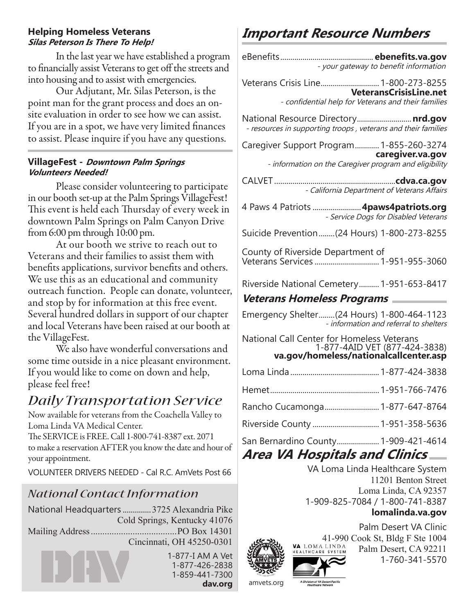#### **Helping Homeless Veterans Silas Peterson Is There To Help!**

In the last year we have established a program to financially assist Veterans to get off the streets and into housing and to assist with emergencies.

Our Adjutant, Mr. Silas Peterson, is the point man for the grant process and does an onsite evaluation in order to see how we can assist. If you are in a spot, we have very limited finances to assist. Please inquire if you have any questions.

#### **VillageFest - Downtown Palm Springs Volunteers Needed!**

Please consider volunteering to participate in our booth set-up at the Palm Springs VillageFest! This event is held each Thursday of every week in downtown Palm Springs on Palm Canyon Drive from 6:00 pm through 10:00 pm.

At our booth we strive to reach out to Veterans and their families to assist them with benefits applications, survivor benefits and others. We use this as an educational and community outreach function. People can donate, volunteer, and stop by for information at this free event. Several hundred dollars in support of our chapter and local Veterans have been raised at our booth at the VillageFest.

We also have wonderful conversations and some time outside in a nice pleasant environment. If you would like to come on down and help, please feel free!

## *Daily Transportation Service*

Now available for veterans from the Coachella Valley to Loma Linda VA Medical Center.

The SERVICE is FREE. Call 1-800-741-8387 ext. 2071 to make a reservation AFTER you know the date and hour of your appointment.

VOLUNTEER DRIVERS NEEDED - Cal R.C. AmVets Post 66

## *National Contact Information*

National Headquarters ..............3725 Alexandria Pike Cold Springs, Kentucky 41076 Mailing Address.....................................PO Box 14301 Cincinnati, OH 45250-0301

## **Important Resource Numbers**

| - your gateway to benefit information                                                                |
|------------------------------------------------------------------------------------------------------|
| Veterans Crisis Line 1-800-273-8255<br><b>VeteransCrisisLine.net</b>                                 |
| - confidential help for Veterans and their families                                                  |
| National Resource Directory nrd.gov<br>- resources in supporting troops, veterans and their families |
| Caregiver Support Program 1-855-260-3274                                                             |
| caregiver.va.gov<br>- information on the Caregiver program and eligibility                           |
| - California Department of Veterans Affairs                                                          |
| 4 Paws 4 Patriots  4paws4patriots.org<br>- Service Dogs for Disabled Veterans                        |
| Suicide Prevention(24 Hours) 1-800-273-8255                                                          |
| County of Riverside Department of                                                                    |
| Riverside National Cemetery 1-951-653-8417                                                           |
| Veterans Homeless Programs <b>Notain Meter</b>                                                       |
| Emergency Shelter (24 Hours) 1-800-464-1123<br>- information and referral to shelters                |
| National Call Center for Homeless Veterans<br>1-877-4AID VET (877-424-3838)                          |
| va.gov/homeless/nationalcallcenter.asp                                                               |
|                                                                                                      |
|                                                                                                      |
| Rancho Cucamonga 1-877-647-8764                                                                      |
| Riverside County  1-951-358-5636                                                                     |
| San Bernardino County 1-909-421-4614                                                                 |
| Area VA Hospitals and Clinics                                                                        |
| VA Loma Linda Healthcare System<br>11201 Benton Street<br>Loma Linda, CA 92357                       |
|                                                                                                      |

1-909-825-7084 / 1-800-741-8387

#### **lomalinda.va.gov**

Palm Desert VA Clinic 41-990 Cook St, Bldg F Ste 1004 Palm Desert, CA 92211 1-760-341-5570

1-877-I AM A Vet 1-877-426-2838 1-859-441-7300 **dav.org**

amvets.org